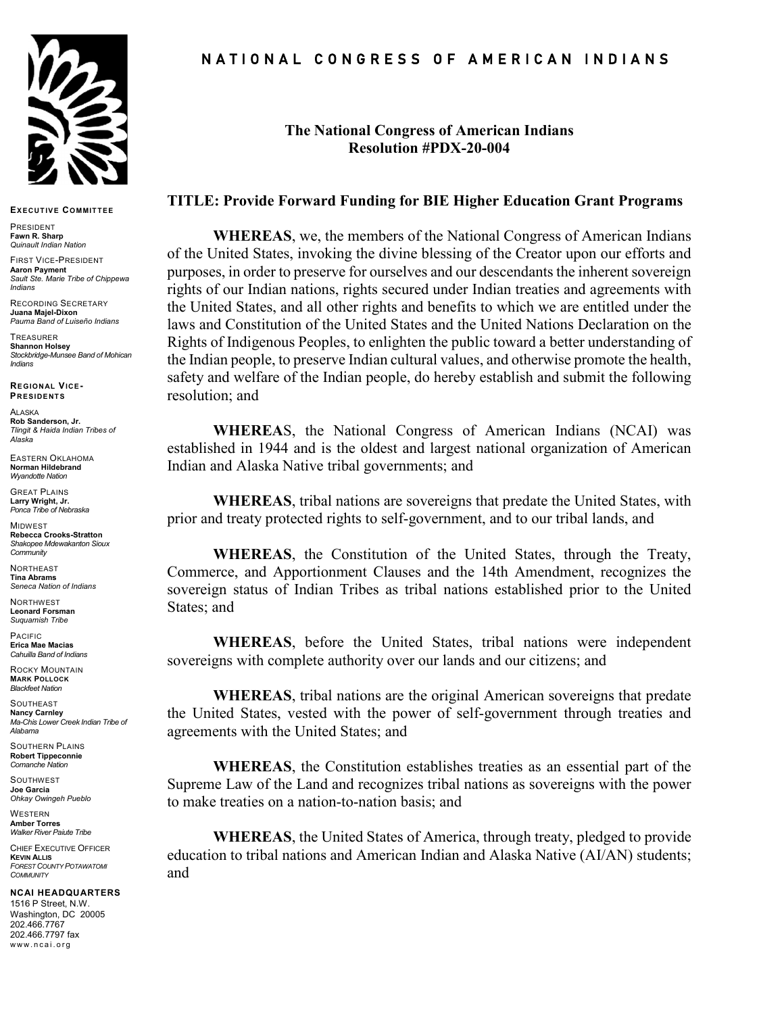

**EXECUTIVE COMMITTEE**

PRESIDENT **Fawn R. Sharp** *Quinault Indian Nation*

FIRST VICE-PRESIDENT **Aaron Payment** *Sault Ste. Marie Tribe of Chippewa Indians*

RECORDING SECRETARY **Juana Majel-Dixon** *Pauma Band of Luiseño Indians*

TREASURER **Shannon Holsey** *Stockbridge-Munsee Band of Mohican Indians*

**REGIONAL VICE-PRESIDENTS**

ALASKA **Rob Sanderson, Jr.** *Tlingit & Haida Indian Tribes of Alaska*

EASTERN OKLAHOMA **Norman Hildebrand** *Wyandotte Nation*

GREAT PLAINS **Larry Wright, Jr.** *Ponca Tribe of Nebraska*

MIDWEST **Rebecca Crooks-Stratton** *Shakopee Mdewakanton Sioux Community*

**NORTHEAST Tina Abrams** *Seneca Nation of Indians*

NORTHWEST **Leonard Forsman** *Suquamish Tribe*

PACIFIC **Erica Mae Macias** *Cahuilla Band of Indians*

ROCKY MOUNTAIN **MARK POLLOCK**  *Blackfeet Nation*

SOUTHEAST **Nancy Carnley** *Ma-Chis Lower Creek Indian Tribe of Alabama*

SOUTHERN PLAINS **Robert Tippeconnie** *Comanche Nation*

**SOUTHWEST Joe Garcia** *Ohkay Owingeh Pueblo*

WESTERN **Amber Torres** *Walker River Paiute Tribe*

CHIEF EXECUTIVE OFFICER **KEVIN ALLIS** *FOREST COUNTY POTAWATOMI COMMUNITY*

**NCAI HEADQUARTERS** 1516 P Street, N.W. Washington, DC 20005 202.466.7767 202.466.7797 fax www.ncai.org

## N A T I O N A L C O N G R E S S O F A M E R I C A N I N D I A N S

## **The National Congress of American Indians Resolution #PDX-20-004**

## **TITLE: Provide Forward Funding for BIE Higher Education Grant Programs**

**WHEREAS**, we, the members of the National Congress of American Indians of the United States, invoking the divine blessing of the Creator upon our efforts and purposes, in order to preserve for ourselves and our descendants the inherent sovereign rights of our Indian nations, rights secured under Indian treaties and agreements with the United States, and all other rights and benefits to which we are entitled under the laws and Constitution of the United States and the United Nations Declaration on the Rights of Indigenous Peoples, to enlighten the public toward a better understanding of the Indian people, to preserve Indian cultural values, and otherwise promote the health, safety and welfare of the Indian people, do hereby establish and submit the following resolution; and

**WHEREA**S, the National Congress of American Indians (NCAI) was established in 1944 and is the oldest and largest national organization of American Indian and Alaska Native tribal governments; and

**WHEREAS**, tribal nations are sovereigns that predate the United States, with prior and treaty protected rights to self-government, and to our tribal lands, and

**WHEREAS**, the Constitution of the United States, through the Treaty, Commerce, and Apportionment Clauses and the 14th Amendment, recognizes the sovereign status of Indian Tribes as tribal nations established prior to the United States; and

**WHEREAS**, before the United States, tribal nations were independent sovereigns with complete authority over our lands and our citizens; and

**WHEREAS**, tribal nations are the original American sovereigns that predate the United States, vested with the power of self-government through treaties and agreements with the United States; and

**WHEREAS**, the Constitution establishes treaties as an essential part of the Supreme Law of the Land and recognizes tribal nations as sovereigns with the power to make treaties on a nation-to-nation basis; and

**WHEREAS**, the United States of America, through treaty, pledged to provide education to tribal nations and American Indian and Alaska Native (AI/AN) students; and